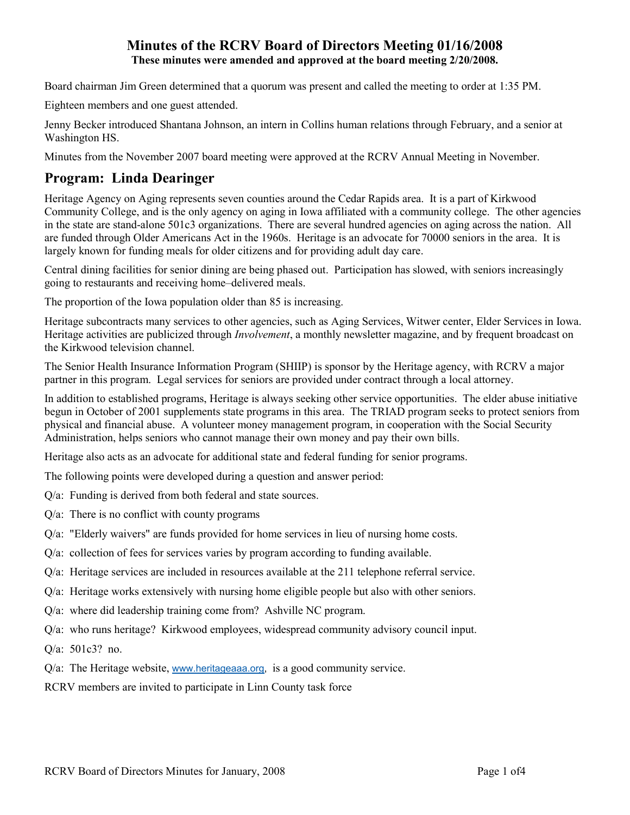## **Minutes of the RCRV Board of Directors Meeting 01/16/2008 These minutes were amended and approved at the board meeting 2/20/2008.**

Board chairman Jim Green determined that a quorum was present and called the meeting to order at 1:35 PM.

Eighteen members and one guest attended.

Jenny Becker introduced Shantana Johnson, an intern in Collins human relations through February, and a senior at Washington HS.

Minutes from the November 2007 board meeting were approved at the RCRV Annual Meeting in November.

# **Program: Linda Dearinger**

Heritage Agency on Aging represents seven counties around the Cedar Rapids area. It is a part of Kirkwood Community College, and is the only agency on aging in Iowa affiliated with a community college. The other agencies in the state are stand-alone 501c3 organizations. There are several hundred agencies on aging across the nation. All are funded through Older Americans Act in the 1960s. Heritage is an advocate for 70000 seniors in the area. It is largely known for funding meals for older citizens and for providing adult day care.

Central dining facilities for senior dining are being phased out. Participation has slowed, with seniors increasingly going to restaurants and receiving home–delivered meals.

The proportion of the Iowa population older than 85 is increasing.

Heritage subcontracts many services to other agencies, such as Aging Services, Witwer center, Elder Services in Iowa. Heritage activities are publicized through *Involvement*, a monthly newsletter magazine, and by frequent broadcast on the Kirkwood television channel.

The Senior Health Insurance Information Program (SHIIP) is sponsor by the Heritage agency, with RCRV a major partner in this program. Legal services for seniors are provided under contract through a local attorney.

In addition to established programs, Heritage is always seeking other service opportunities. The elder abuse initiative begun in October of 2001 supplements state programs in this area. The TRIAD program seeks to protect seniors from physical and financial abuse. A volunteer money management program, in cooperation with the Social Security Administration, helps seniors who cannot manage their own money and pay their own bills.

Heritage also acts as an advocate for additional state and federal funding for senior programs.

The following points were developed during a question and answer period:

- Q/a: Funding is derived from both federal and state sources.
- Q/a: There is no conflict with county programs
- Q/a: "Elderly waivers" are funds provided for home services in lieu of nursing home costs.
- Q/a: collection of fees for services varies by program according to funding available.
- Q/a: Heritage services are included in resources available at the 211 telephone referral service.
- Q/a: Heritage works extensively with nursing home eligible people but also with other seniors.
- Q/a: where did leadership training come from? Ashville NC program.
- Q/a: who runs heritage? Kirkwood employees, widespread community advisory council input.

Q/a: 501c3? no.

- Q/a: The Heritage website, www.heritageaaa.org, is a good community service.
- RCRV members are invited to participate in Linn County task force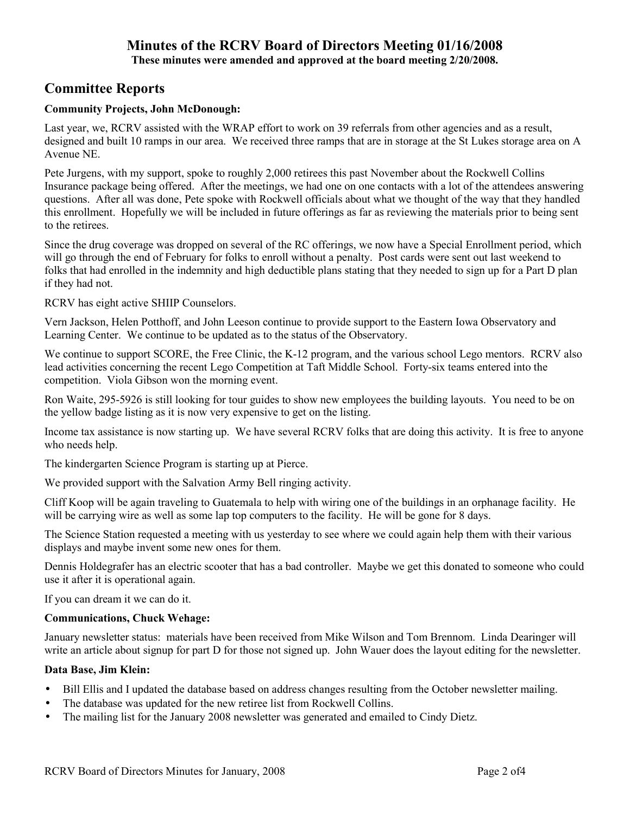# **Minutes of the RCRV Board of Directors Meeting 01/16/2008**

**These minutes were amended and approved at the board meeting 2/20/2008.** 

## **Committee Reports**

#### **Community Projects, John McDonough:**

Last year, we, RCRV assisted with the WRAP effort to work on 39 referrals from other agencies and as a result, designed and built 10 ramps in our area. We received three ramps that are in storage at the St Lukes storage area on A Avenue NE.

Pete Jurgens, with my support, spoke to roughly 2,000 retirees this past November about the Rockwell Collins Insurance package being offered. After the meetings, we had one on one contacts with a lot of the attendees answering questions. After all was done, Pete spoke with Rockwell officials about what we thought of the way that they handled this enrollment. Hopefully we will be included in future offerings as far as reviewing the materials prior to being sent to the retirees.

Since the drug coverage was dropped on several of the RC offerings, we now have a Special Enrollment period, which will go through the end of February for folks to enroll without a penalty. Post cards were sent out last weekend to folks that had enrolled in the indemnity and high deductible plans stating that they needed to sign up for a Part D plan if they had not.

RCRV has eight active SHIIP Counselors.

Vern Jackson, Helen Potthoff, and John Leeson continue to provide support to the Eastern Iowa Observatory and Learning Center. We continue to be updated as to the status of the Observatory.

We continue to support SCORE, the Free Clinic, the K-12 program, and the various school Lego mentors. RCRV also lead activities concerning the recent Lego Competition at Taft Middle School. Forty-six teams entered into the competition. Viola Gibson won the morning event.

Ron Waite, 295-5926 is still looking for tour guides to show new employees the building layouts. You need to be on the yellow badge listing as it is now very expensive to get on the listing.

Income tax assistance is now starting up. We have several RCRV folks that are doing this activity. It is free to anyone who needs help.

The kindergarten Science Program is starting up at Pierce.

We provided support with the Salvation Army Bell ringing activity.

Cliff Koop will be again traveling to Guatemala to help with wiring one of the buildings in an orphanage facility. He will be carrying wire as well as some lap top computers to the facility. He will be gone for 8 days.

The Science Station requested a meeting with us yesterday to see where we could again help them with their various displays and maybe invent some new ones for them.

Dennis Holdegrafer has an electric scooter that has a bad controller. Maybe we get this donated to someone who could use it after it is operational again.

If you can dream it we can do it.

#### **Communications, Chuck Wehage:**

January newsletter status: materials have been received from Mike Wilson and Tom Brennom. Linda Dearinger will write an article about signup for part D for those not signed up. John Wauer does the layout editing for the newsletter.

#### **Data Base, Jim Klein:**

- Bill Ellis and I updated the database based on address changes resulting from the October newsletter mailing.
- The database was updated for the new retiree list from Rockwell Collins.
- The mailing list for the January 2008 newsletter was generated and emailed to Cindy Dietz.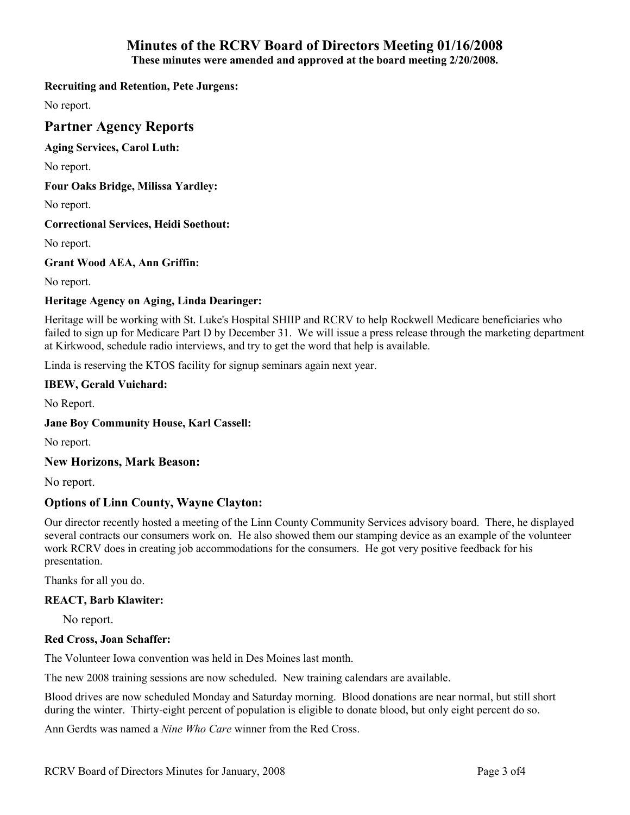# **Minutes of the RCRV Board of Directors Meeting 01/16/2008**

**These minutes were amended and approved at the board meeting 2/20/2008.** 

#### **Recruiting and Retention, Pete Jurgens:**

No report.

## **Partner Agency Reports**

#### **Aging Services, Carol Luth:**

No report.

#### **Four Oaks Bridge, Milissa Yardley:**

No report.

#### **Correctional Services, Heidi Soethout:**

No report.

## **Grant Wood AEA, Ann Griffin:**

No report.

## **Heritage Agency on Aging, Linda Dearinger:**

Heritage will be working with St. Luke's Hospital SHIIP and RCRV to help Rockwell Medicare beneficiaries who failed to sign up for Medicare Part D by December 31. We will issue a press release through the marketing department at Kirkwood, schedule radio interviews, and try to get the word that help is available.

Linda is reserving the KTOS facility for signup seminars again next year.

## **IBEW, Gerald Vuichard:**

No Report.

## **Jane Boy Community House, Karl Cassell:**

No report.

#### **New Horizons, Mark Beason:**

No report.

## **Options of Linn County, Wayne Clayton:**

Our director recently hosted a meeting of the Linn County Community Services advisory board. There, he displayed several contracts our consumers work on. He also showed them our stamping device as an example of the volunteer work RCRV does in creating job accommodations for the consumers. He got very positive feedback for his presentation.

Thanks for all you do.

#### **REACT, Barb Klawiter:**

No report.

## **Red Cross, Joan Schaffer:**

The Volunteer Iowa convention was held in Des Moines last month.

The new 2008 training sessions are now scheduled. New training calendars are available.

Blood drives are now scheduled Monday and Saturday morning. Blood donations are near normal, but still short during the winter. Thirty-eight percent of population is eligible to donate blood, but only eight percent do so.

Ann Gerdts was named a *Nine Who Care* winner from the Red Cross.